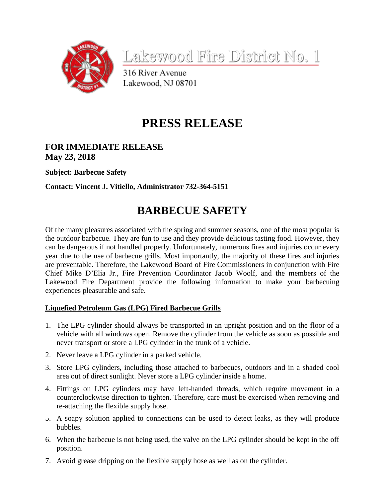

Lakewood Fire District No. 1

316 River Avenue Lakewood, NJ 08701

# **PRESS RELEASE**

# **FOR IMMEDIATE RELEASE May 23, 2018**

**Subject: Barbecue Safety**

**Contact: Vincent J. Vitiello, Administrator 732-364-5151**

# **BARBECUE SAFETY**

Of the many pleasures associated with the spring and summer seasons, one of the most popular is the outdoor barbecue. They are fun to use and they provide delicious tasting food. However, they can be dangerous if not handled properly. Unfortunately, numerous fires and injuries occur every year due to the use of barbecue grills. Most importantly, the majority of these fires and injuries are preventable. Therefore, the Lakewood Board of Fire Commissioners in conjunction with Fire Chief Mike D'Elia Jr., Fire Prevention Coordinator Jacob Woolf, and the members of the Lakewood Fire Department provide the following information to make your barbecuing experiences pleasurable and safe.

## **Liquefied Petroleum Gas (LPG) Fired Barbecue Grills**

- 1. The LPG cylinder should always be transported in an upright position and on the floor of a vehicle with all windows open. Remove the cylinder from the vehicle as soon as possible and never transport or store a LPG cylinder in the trunk of a vehicle.
- 2. Never leave a LPG cylinder in a parked vehicle.
- 3. Store LPG cylinders, including those attached to barbecues, outdoors and in a shaded cool area out of direct sunlight. Never store a LPG cylinder inside a home.
- 4. Fittings on LPG cylinders may have left-handed threads, which require movement in a counterclockwise direction to tighten. Therefore, care must be exercised when removing and re-attaching the flexible supply hose.
- 5. A soapy solution applied to connections can be used to detect leaks, as they will produce bubbles.
- 6. When the barbecue is not being used, the valve on the LPG cylinder should be kept in the off position.
- 7. Avoid grease dripping on the flexible supply hose as well as on the cylinder.